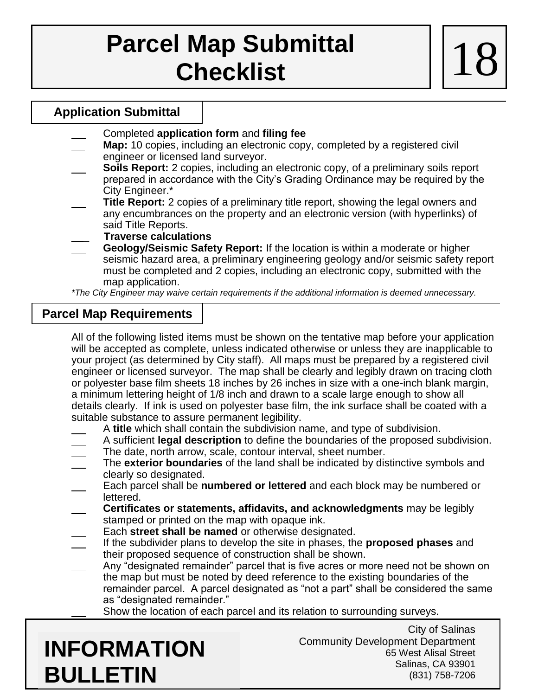# **Parcel Map Submittal 18**

| $\overline{\phantom{a}}$ | ł |
|--------------------------|---|
|--------------------------|---|

### **Application Submittal**

- Completed **application form** and **filing fee**
- **Map:** 10 copies, including an electronic copy, completed by a registered civil engineer or licensed land surveyor.
- **Soils Report:** 2 copies, including an electronic copy, of a preliminary soils report prepared in accordance with the City's Grading Ordinance may be required by the City Engineer.\*
- **Title Report:** 2 copies of a preliminary title report, showing the legal owners and any encumbrances on the property and an electronic version (with hyperlinks) of said Title Reports.
- \_\_\_ **Traverse calculations**
- **Geology/Seismic Safety Report:** If the location is within a moderate or higher seismic hazard area, a preliminary engineering geology and/or seismic safety report must be completed and 2 copies, including an electronic copy, submitted with the map application.

*\*The City Engineer may waive certain requirements if the additional information is deemed unnecessary.*

### **Parcel Map Requirements**

All of the following listed items must be shown on the tentative map before your application will be accepted as complete, unless indicated otherwise or unless they are inapplicable to your project (as determined by City staff). All maps must be prepared by a registered civil engineer or licensed surveyor. The map shall be clearly and legibly drawn on tracing cloth or polyester base film sheets 18 inches by 26 inches in size with a one-inch blank margin, a minimum lettering height of 1/8 inch and drawn to a scale large enough to show all details clearly. If ink is used on polyester base film, the ink surface shall be coated with a suitable substance to assure permanent legibility.

- A **title** which shall contain the subdivision name, and type of subdivision.
- A sufficient **legal description** to define the boundaries of the proposed subdivision.
- The date, north arrow, scale, contour interval, sheet number.
- The **exterior boundaries** of the land shall be indicated by distinctive symbols and clearly so designated.
- Each parcel shall be **numbered or lettered** and each block may be numbered or lettered.
- **Certificates or statements, affidavits, and acknowledgments** may be legibly stamped or printed on the map with opaque ink.
- Each **street shall be named** or otherwise designated.
- If the subdivider plans to develop the site in phases, the **proposed phases** and their proposed sequence of construction shall be shown.
- Any "designated remainder" parcel that is five acres or more need not be shown on the map but must be noted by deed reference to the existing boundaries of the remainder parcel. A parcel designated as "not a part" shall be considered the same as "designated remainder."

Show the location of each parcel and its relation to surrounding surveys.

**INFORMATION BULLETIN**

City of Salinas Community Development Department 65 West Alisal Street Salinas, CA 93901 (831) 758-7206